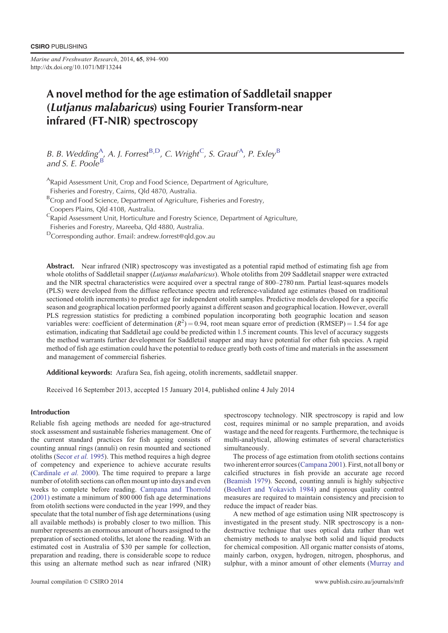*Marine and Freshwater Research*, 2014, **65**, 894–900 http://dx.doi.org/10.1071/MF13244

# A novel method for the age estimation of Saddletail snapper (Lutjanus malabaricus) using Fourier Transform-near infrared (FT-NIR) spectroscopy

B. B. Wedding<sup>A</sup>, A. J. Forrest<sup>B,D</sup>, C. Wright<sup>C</sup>, S. Grauf<sup>A</sup>, P. Exley<sup>B</sup> and S. E. Poole<sup>B</sup>

<sup>A</sup>Rapid Assessment Unit, Crop and Food Science, Department of Agriculture,

Fisheries and Forestry, Cairns, Qld 4870, Australia.

<sup>B</sup> Crop and Food Science, Department of Agriculture, Fisheries and Forestry,

Coopers Plains, Qld 4108, Australia.

<sup>C</sup>Rapid Assessment Unit, Horticulture and Forestry Science, Department of Agriculture,

Fisheries and Forestry, Mareeba, Qld 4880, Australia.

DCorresponding author. Email: andrew.forrest@qld.gov.au

Abstract. Near infrared (NIR) spectroscopy was investigated as a potential rapid method of estimating fish age from whole otoliths of Saddletail snapper (*Lutjanus malabaricus*). Whole otoliths from 209 Saddletail snapper were extracted and the NIR spectral characteristics were acquired over a spectral range of 800–2780 nm. Partial least-squares models (PLS) were developed from the diffuse reflectance spectra and reference-validated age estimates (based on traditional sectioned otolith increments) to predict age for independent otolith samples. Predictive models developed for a specific season and geographical location performed poorly against a different season and geographical location. However, overall PLS regression statistics for predicting a combined population incorporating both geographic location and season variables were: coefficient of determination  $(R^2) = 0.94$ , root mean square error of prediction (RMSEP) = 1.54 for age estimation, indicating that Saddletail age could be predicted within 1.5 increment counts. This level of accuracy suggests the method warrants further development for Saddletail snapper and may have potential for other fish species. A rapid method of fish age estimation could have the potential to reduce greatly both costs of time and materials in the assessment and management of commercial fisheries.

Additional keywords: Arafura Sea, fish ageing, otolith increments, saddletail snapper.

Received 16 September 2013, accepted 15 January 2014, published online 4 July 2014

## Introduction

Reliable fish ageing methods are needed for age-structured stock assessment and sustainable fisheries management. One of the current standard practices for fish ageing consists of counting annual rings (annuli) on resin mounted and sectioned otoliths ([Secor](#page-5-0) *et al.* 1995). This method requires a high degree of competency and experience to achieve accurate results ([Cardinale](#page-5-0) *et al.* 2000). The time required to prepare a large number of otolith sections can often mount up into days and even weeks to complete before reading. [Campana and Thorrold](#page-5-0) [\(2001\)](#page-5-0) estimate a minimum of 800 000 fish age determinations from otolith sections were conducted in the year 1999, and they speculate that the total number of fish age determinations (using all available methods) is probably closer to two million. This number represents an enormous amount of hours assigned to the preparation of sectioned otoliths, let alone the reading. With an estimated cost in Australia of \$30 per sample for collection, preparation and reading, there is considerable scope to reduce this using an alternate method such as near infrared (NIR) spectroscopy technology. NIR spectroscopy is rapid and low cost, requires minimal or no sample preparation, and avoids wastage and the need for reagents. Furthermore, the technique is multi-analytical, allowing estimates of several characteristics simultaneously.

The process of age estimation from otolith sections contains two inherent error sources [\(Campana 2001\)](#page-5-0). First, not all bony or calcified structures in fish provide an accurate age record [\(Beamish 1979](#page-5-0)). Second, counting annuli is highly subjective [\(Boehlert and Yokavich 1984\)](#page-5-0) and rigorous quality control measures are required to maintain consistency and precision to reduce the impact of reader bias.

A new method of age estimation using NIR spectroscopy is investigated in the present study. NIR spectroscopy is a nondestructive technique that uses optical data rather than wet chemistry methods to analyse both solid and liquid products for chemical composition. All organic matter consists of atoms, mainly carbon, oxygen, hydrogen, nitrogen, phosphorus, and sulphur, with a minor amount of other elements ([Murray and](#page-5-0)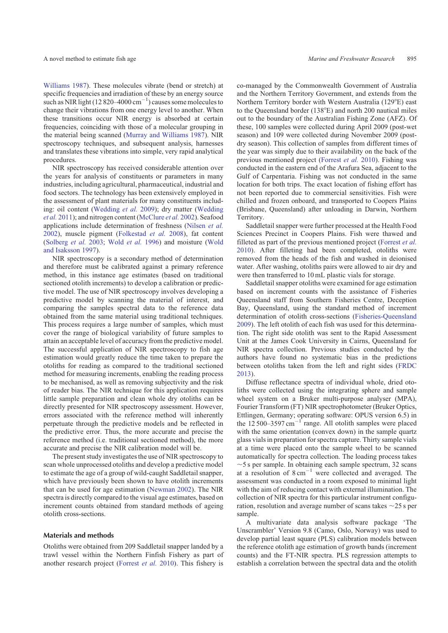[Williams 1987](#page-5-0)). These molecules vibrate (bend or stretch) at specific frequencies and irradiation of these by an energy source such as NIR light (12 820–4000  $\text{cm}^{-1}$ ) causes some molecules to change their vibrations from one energy level to another. When these transitions occur NIR energy is absorbed at certain frequencies, coinciding with those of a molecular grouping in the material being scanned [\(Murray and Williams 1987](#page-5-0)). NIR spectroscopy techniques, and subsequent analysis, harnesses and translates these vibrations into simple, very rapid analytical procedures.

NIR spectroscopy has received considerable attention over the years for analysis of constituents or parameters in many industries, including agricultural, pharmaceutical, industrial and food sectors. The technology has been extensively employed in the assessment of plant materials for many constituents including: oil content [\(Wedding](#page-6-0) *et al.* 2009); dry matter [\(Wedding](#page-6-0) *et al.* [2011](#page-6-0)); and nitrogen content ([McClure](#page-5-0) *et al.* 2002). Seafood applications include determination of freshness [\(Nilsen](#page-5-0) *et al.* [2002\)](#page-5-0), muscle pigment [\(Folkestad](#page-5-0) *et al.* 2008), fat content ([Solberg](#page-5-0) *et al.* 2003; [Wold](#page-6-0) *et al.* 1996) and moisture ([Wold](#page-6-0) [and Isaksson 1997\)](#page-6-0).

NIR spectroscopy is a secondary method of determination and therefore must be calibrated against a primary reference method, in this instance age estimates (based on traditional sectioned otolith increments) to develop a calibration or predictive model. The use of NIR spectroscopy involves developing a predictive model by scanning the material of interest, and comparing the samples spectral data to the reference data obtained from the same material using traditional techniques. This process requires a large number of samples, which must cover the range of biological variability of future samples to attain an acceptable level of accuracy from the predictive model. The successful application of NIR spectroscopy to fish age estimation would greatly reduce the time taken to prepare the otoliths for reading as compared to the traditional sectioned method for measuring increments, enabling the reading process to be mechanised, as well as removing subjectivity and the risk of reader bias. The NIR technique for this application requires little sample preparation and clean whole dry otoliths can be directly presented for NIR spectroscopy assessment. However, errors associated with the reference method will inherently perpetuate through the predictive models and be reflected in the predictive error. Thus, the more accurate and precise the reference method (i.e. traditional sectioned method), the more accurate and precise the NIR calibration model will be.

The present study investigates the use of NIR spectroscopy to scan whole unprocessed otoliths and develop a predictive model to estimate the age of a group of wild-caught Saddletail snapper, which have previously been shown to have otolith increments that can be used for age estimation ([Newman 2002\)](#page-5-0). The NIR spectra is directly compared to the visual age estimates, based on increment counts obtained from standard methods of ageing otolith cross-sections.

### Materials and methods

Otoliths were obtained from 209 Saddletail snapper landed by a trawl vessel within the Northern Finfish Fishery as part of another research project [\(Forrest](#page-5-0) *et al.* 2010). This fishery is co-managed by the Commonwealth Government of Australia and the Northern Territory Government, and extends from the Northern Territory border with Western Australia (129°E) east to the Queensland border  $(138^{\circ}E)$  and north 200 nautical miles out to the boundary of the Australian Fishing Zone (AFZ). Of these, 100 samples were collected during April 2009 (post-wet season) and 109 were collected during November 2009 (postdry season). This collection of samples from different times of the year was simply due to their availability on the back of the previous mentioned project ([Forrest](#page-5-0) *et al.* 2010). Fishing was conducted in the eastern end of the Arafura Sea, adjacent to the Gulf of Carpentaria. Fishing was not conducted in the same location for both trips. The exact location of fishing effort has not been reported due to commercial sensitivities. Fish were chilled and frozen onboard, and transported to Coopers Plains (Brisbane, Queensland) after unloading in Darwin, Northern Territory.

Saddletail snapper were further processed at the Health Food Sciences Precinct in Coopers Plains. Fish were thawed and filleted as part of the previous mentioned project ([Forrest](#page-5-0) *et al.* [2010\)](#page-5-0). After filleting had been completed, otoliths were removed from the heads of the fish and washed in deionised water. After washing, otoliths pairs were allowed to air dry and were then transferred to 10 mL plastic vials for storage.

Saddletail snapper otoliths were examined for age estimation based on increment counts with the assistance of Fisheries Queensland staff from Southern Fisheries Centre, Deception Bay, Queensland, using the standard method of increment determination of otolith cross-sections ([Fisheries-Queensland](#page-5-0) [2009\)](#page-5-0). The left otolith of each fish was used for this determination. The right side otolith was sent to the Rapid Assessment Unit at the James Cook University in Cairns, Queensland for NIR spectra collection. Previous studies conducted by the authors have found no systematic bias in the predictions between otoliths taken from the left and right sides [\(FRDC](#page-5-0) [2013\)](#page-5-0).

Diffuse reflectance spectra of individual whole, dried otoliths were collected using the integrating sphere and sample wheel system on a Bruker multi-purpose analyser (MPA), Fourier Transform (FT) NIR spectrophotometer (Bruker Optics, Ettlingen, Germany; operating software: OPUS version 6.5) in the  $12\,500-3597\,\mathrm{cm}^{-1}$  range. All otolith samples were placed with the same orientation (convex down) in the sample quartz glass vials in preparation for spectra capture. Thirty sample vials at a time were placed onto the sample wheel to be scanned automatically for spectra collection. The loading process takes  $\sim$ 5 s per sample. In obtaining each sample spectrum, 32 scans at a resolution of  $8 \text{ cm}^{-1}$  were collected and averaged. The assessment was conducted in a room exposed to minimal light with the aim of reducing contact with external illumination. The collection of NIR spectra for this particular instrument configuration, resolution and average number of scans takes  $\sim$  25 s per sample.

A multivariate data analysis software package 'The Unscrambler' Version 9.8 (Camo, Oslo, Norway) was used to develop partial least square (PLS) calibration models between the reference otolith age estimation of growth bands (increment counts) and the FT-NIR spectra. PLS regression attempts to establish a correlation between the spectral data and the otolith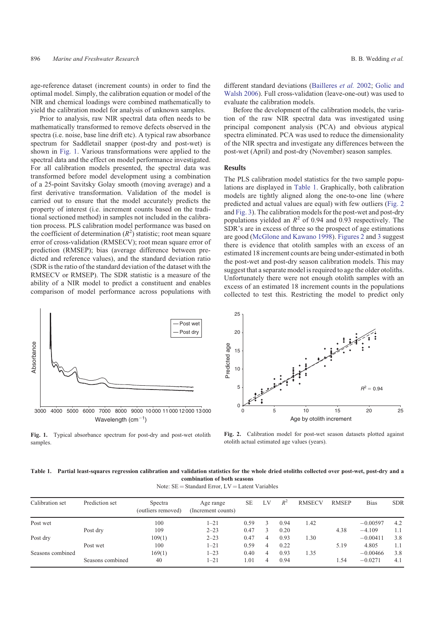<span id="page-2-0"></span>age-reference dataset (increment counts) in order to find the optimal model. Simply, the calibration equation or model of the NIR and chemical loadings were combined mathematically to yield the calibration model for analysis of unknown samples.

Prior to analysis, raw NIR spectral data often needs to be mathematically transformed to remove defects observed in the spectra (i.e. noise, base line drift etc). A typical raw absorbance spectrum for Saddletail snapper (post-dry and post-wet) is shown in Fig. 1. Various transformations were applied to the spectral data and the effect on model performance investigated. For all calibration models presented, the spectral data was transformed before model development using a combination of a 25-point Savitsky Golay smooth (moving average) and a first derivative transformation. Validation of the model is carried out to ensure that the model accurately predicts the property of interest (i.e. increment counts based on the traditional sectioned method) in samples not included in the calibration process. PLS calibration model performance was based on the coefficient of determination  $(R^2)$  statistic; root mean square error of cross-validation (RMSECV); root mean square error of prediction (RMSEP); bias (average difference between predicted and reference values), and the standard deviation ratio (SDR is the ratio of the standard deviation of the dataset with the RMSECV or RMSEP). The SDR statistic is a measure of the ability of a NIR model to predict a constituent and enables comparison of model performance across populations with





different standard deviations [\(Bailleres](#page-5-0) *et al.* 2002; [Golic and](#page-5-0) [Walsh 2006](#page-5-0)). Full cross-validation (leave-one-out) was used to evaluate the calibration models.

Before the development of the calibration models, the variation of the raw NIR spectral data was investigated using principal component analysis (PCA) and obvious atypical spectra eliminated. PCA was used to reduce the dimensionality of the NIR spectra and investigate any differences between the post-wet (April) and post-dry (November) season samples.

## Results

The PLS calibration model statistics for the two sample populations are displayed in Table 1. Graphically, both calibration models are tightly aligned along the one-to-one line (where predicted and actual values are equal) with few outliers (Fig. 2 and [Fig. 3\)](#page-3-0). The calibration models for the post-wet and post-dry populations yielded an  $R^2$  of 0.94 and 0.93 respectively. The SDR's are in excess of three so the prospect of age estimations are good ([McGlone and Kawano 1998\)](#page-5-0). Figures 2 and [3](#page-3-0) suggest there is evidence that otolith samples with an excess of an estimated 18 increment counts are being under-estimated in both the post-wet and post-dry season calibration models. This may suggest that a separate model is required to age the older otoliths. Unfortunately there were not enough otolith samples with an excess of an estimated 18 increment counts in the populations collected to test this. Restricting the model to predict only



**Fig. 2.** Calibration model for post-wet season datasets plotted against otolith actual estimated age values (years).

**Table 1. Partial least-squares regression calibration and validation statistics for the whole dried otoliths collected over post-wet, post-dry and a combination of both seasons**

Note:  $SE = Standard Error$ , LV = Latent Variables

| Calibration set  | Prediction set   | Spectra<br>(outliers removed) | Age range<br>(Increment counts) | <b>SE</b> | LV | $R^2$ | <b>RMSECV</b> | <b>RMSEP</b> | <b>Bias</b> | <b>SDR</b> |
|------------------|------------------|-------------------------------|---------------------------------|-----------|----|-------|---------------|--------------|-------------|------------|
| Post wet         |                  | 100                           | $1 - 21$                        | 0.59      |    | 0.94  | 1.42          |              | $-0.00597$  | 4.2        |
|                  | Post dry         | 109                           | $2 - 23$                        | 0.47      | 3  | 0.20  |               | 4.38         | $-4.109$    | 1.1        |
| Post dry         |                  | 109(1)                        | $2 - 23$                        | 0.47      | 4  | 0.93  | 1.30          |              | $-0.00411$  | 3.8        |
|                  | Post wet         | 100                           | $1 - 21$                        | 0.59      | 4  | 0.22  |               | 5.19         | 4.805       | 1.1        |
| Seasons combined |                  | 169(1)                        | $1 - 23$                        | 0.40      | 4  | 0.93  | 1.35          |              | $-0.00466$  | 3.8        |
|                  | Seasons combined | 40                            | $1 - 21$                        | 1.01      | 4  | 0.94  |               | 1.54         | $-0.0271$   | 4.1        |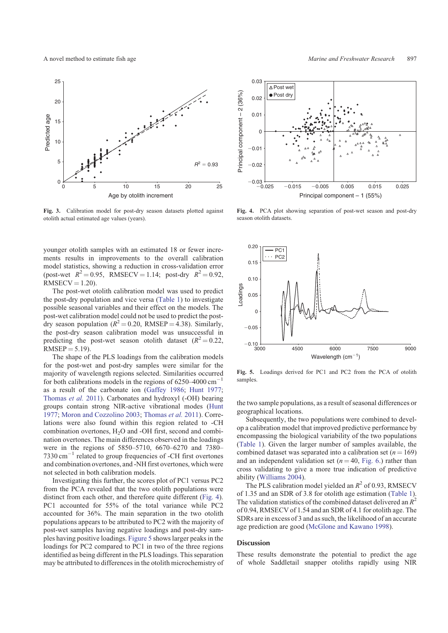

**Fig. 3.** Calibration model for post-dry season datasets plotted against otolith actual estimated age values (years).

younger otolith samples with an estimated 18 or fewer increments results in improvements to the overall calibration model statistics, showing a reduction in cross-validation error (post-wet  $R^2 = 0.95$ , RMSECV = 1.14; post-dry  $R^2 = 0.92$ ,  $RMSECV = 1.20$ ).

The post-wet otolith calibration model was used to predict the post-dry population and vice versa ([Table 1\)](#page-2-0) to investigate possible seasonal variables and their effect on the models. The post-wet calibration model could not be used to predict the postdry season population ( $R^2 = 0.20$ , RMSEP = 4.38). Similarly, the post-dry season calibration model was unsuccessful in predicting the post-wet season otolith dataset  $(R^2 = 0.22,$  $RMSEP = 5.19$ ).

The shape of the PLS loadings from the calibration models for the post-wet and post-dry samples were similar for the majority of wavelength regions selected. Similarities occurred for both calibrations models in the regions of  $6250-4000$   $cm^{-1}$ as a result of the carbonate ion ([Gaffey 1986;](#page-5-0) [Hunt 1977](#page-5-0); [Thomas](#page-5-0) *et al.* 2011). Carbonates and hydroxyl (-OH) bearing groups contain strong NIR-active vibrational modes ([Hunt](#page-5-0) [1977;](#page-5-0) [Moron and Cozzolino 2003](#page-5-0); [Thomas](#page-5-0) *et al.* 2011). Correlations were also found within this region related to -CH combination overtones, H<sub>2</sub>O and -OH first, second and combination overtones. The main differences observed in the loadings were in the regions of 5850–5710, 6670–6270 and 7380– 7330 cm-<sup>1</sup> related to group frequencies of -CH first overtones and combination overtones, and -NH first overtones, which were not selected in both calibration models.

Investigating this further, the scores plot of PC1 versus PC2 from the PCA revealed that the two otolith populations were distinct from each other, and therefore quite different (Fig. 4). PC1 accounted for 55% of the total variance while PC2 accounted for 36%. The main separation in the two otolith populations appears to be attributed to PC2 with the majority of post-wet samples having negative loadings and post-dry samples having positive loadings. Figure 5 shows larger peaks in the loadings for PC2 compared to PC1 in two of the three regions identified as being different in the PLS loadings. This separation may be attributed to differences in the otolith microchemistry of

<span id="page-3-0"></span>



**Fig. 4.** PCA plot showing separation of post-wet season and post-dry season otolith datasets.



**Fig. 5.** Loadings derived for PC1 and PC2 from the PCA of otolith samples.

the two sample populations, as a result of seasonal differences or geographical locations.

Subsequently, the two populations were combined to develop a calibration model that improved predictive performance by encompassing the biological variability of the two populations ([Table 1\)](#page-2-0). Given the larger number of samples available, the combined dataset was separated into a calibration set  $(n = 169)$ and an independent validation set  $(n = 40, \text{Fig. } 6.)$  rather than cross validating to give a more true indication of predictive ability ([Williams 2004](#page-6-0)).

The PLS calibration model yielded an  $R^2$  of 0.93, RMSECV of 1.35 and an SDR of 3.8 for otolith age estimation [\(Table 1](#page-2-0)). The validation statistics of the combined dataset delivered an  $R^2$ of 0.94, RMSECV of 1.54 and an SDR of 4.1 for otolith age. The SDRs are in excess of 3 and as such, the likelihood of an accurate age prediction are good [\(McGlone and Kawano 1998](#page-5-0)).

## Discussion

These results demonstrate the potential to predict the age of whole Saddletail snapper otoliths rapidly using NIR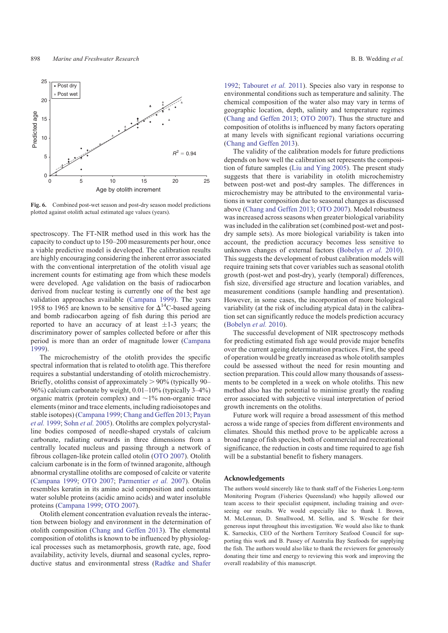<span id="page-4-0"></span>

**Fig. 6.** Combined post-wet season and post-dry season model predictions plotted against otolith actual estimated age values (years).

spectroscopy. The FT-NIR method used in this work has the capacity to conduct up to 150–200 measurements per hour, once a viable predictive model is developed. The calibration results are highly encouraging considering the inherent error associated with the conventional interpretation of the otolith visual age increment counts for estimating age from which these models were developed. Age validation on the basis of radiocarbon derived from nuclear testing is currently one of the best age validation approaches available ([Campana 1999](#page-5-0)). The years 1958 to 1965 are known to be sensitive for  $\Delta^{14}$ C-based ageing and bomb radiocarbon ageing of fish during this period are reported to have an accuracy of at least  $\pm 1$ -3 years; the discriminatory power of samples collected before or after this period is more than an order of magnitude lower [\(Campana](#page-5-0) [1999\)](#page-5-0).

The microchemistry of the otolith provides the specific spectral information that is related to otolith age. This therefore requires a substantial understanding of otolith microchemistry. Briefly, otoliths consist of approximately  $> 90\%$  (typically 90– 96%) calcium carbonate by weight, 0.01–10% (typically 3–4%) organic matrix (protein complex) and  $\sim$ 1% non-organic trace elements (minor and trace elements, including radioisotopes and stable isotopes) ([Campana 1999;](#page-5-0) [Chang and Geffen 2013;](#page-5-0) [Payan](#page-5-0) *[et al.](#page-5-0)* 1999; [Sohn](#page-5-0) *et al.* 2005). Otoliths are complex polycrystalline bodies composed of needle-shaped crystals of calcium carbonate, radiating outwards in three dimensions from a centrally located nucleus and passing through a network of fibrous collagen-like protein called otolin [\(OTO 2007](#page-5-0)). Otolith calcium carbonate is in the form of twinned aragonite, although abnormal crystalline otoliths are composed of calcite or vaterite ([Campana 1999;](#page-5-0) [OTO 2007](#page-5-0); [Parmentier](#page-5-0) *et al.* 2007). Otolin resembles keratin in its amino acid composition and contains water soluble proteins (acidic amino acids) and water insoluble proteins [\(Campana 1999](#page-5-0); [OTO 2007](#page-5-0)).

Otolith element concentration evaluation reveals the interaction between biology and environment in the determination of otolith composition [\(Chang and Geffen 2013\)](#page-5-0). The elemental composition of otoliths is known to be influenced by physiological processes such as metamorphosis, growth rate, age, food availability, activity levels, diurnal and seasonal cycles, reproductive status and environmental stress ([Radtke and Shafer](#page-5-0) [1992;](#page-5-0) [Tabouret](#page-5-0) *et al.* 2011). Species also vary in response to environmental conditions such as temperature and salinity. The chemical composition of the water also may vary in terms of geographic location, depth, salinity and temperature regimes [\(Chang and Geffen 2013](#page-5-0); [OTO 2007](#page-5-0)). Thus the structure and composition of otoliths is influenced by many factors operating at many levels with significant regional variations occurring [\(Chang and Geffen 2013](#page-5-0)).

The validity of the calibration models for future predictions depends on how well the calibration set represents the composition of future samples ([Liu and Ying 2005\)](#page-5-0). The present study suggests that there is variability in otolith microchemistry between post-wet and post-dry samples. The differences in microchemistry may be attributed to the environmental variations in water composition due to seasonal changes as discussed above [\(Chang and Geffen 2013;](#page-5-0) [OTO 2007](#page-5-0)). Model robustness was increased across seasons when greater biological variability was included in the calibration set (combined post-wet and postdry sample sets). As more biological variability is taken into account, the prediction accuracy becomes less sensitive to unknown changes of external factors ([Bobelyn](#page-5-0) *et al.* 2010). This suggests the development of robust calibration models will require training sets that cover variables such as seasonal otolith growth (post-wet and post-dry), yearly (temporal) differences, fish size, diversified age structure and location variables, and measurement conditions (sample handling and presentation). However, in some cases, the incorporation of more biological variability (at the risk of including atypical data) in the calibration set can significantly reduce the models prediction accuracy [\(Bobelyn](#page-5-0) *et al.* 2010).

The successful development of NIR spectroscopy methods for predicting estimated fish age would provide major benefits over the current ageing determination practices. First, the speed of operation would be greatly increased as whole otolith samples could be assessed without the need for resin mounting and section preparation. This could allow many thousands of assessments to be completed in a week on whole otoliths. This new method also has the potential to minimise greatly the reading error associated with subjective visual interpretation of period growth increments on the otoliths.

Future work will require a broad assessment of this method across a wide range of species from different environments and climates. Should this method prove to be applicable across a broad range of fish species, both of commercial and recreational significance, the reduction in costs and time required to age fish will be a substantial benefit to fishery managers.

#### Acknowledgements

The authors would sincerely like to thank staff of the Fisheries Long-term Monitoring Program (Fisheries Queensland) who happily allowed our team access to their specialist equipment, including training and overseeing our results. We would especially like to thank I. Brown, M. McLennan, D. Smallwood, M. Sellin, and S. Wesche for their generous input throughout this investigation. We would also like to thank K. Sarneckis, CEO of the Northern Territory Seafood Council for supporting this work and B. Passey of Australia Bay Seafoods for supplying the fish. The authors would also like to thank the reviewers for generously donating their time and energy to reviewing this work and improving the overall readability of this manuscript.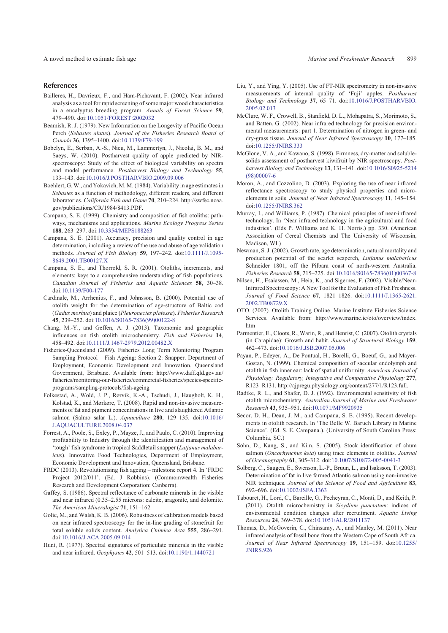<span id="page-5-0"></span>

#### References

- Bailleres, H., Davrieux, F., and Ham-Pichavant, F. (2002). Near infrared analysis as a tool for rapid screening of some major wood characteristics in a eucalyptus breeding program. *Annals of Forest Science* **59**, 479–490. doi[:10.1051/FOREST:2002032](http://dx.doi.org/10.1051/FOREST:2002032)
- Beamish, R. J. (1979). New Information on the Longevity of Pacific Ocean Perch (*Sebastes alutus*). *Journal of the Fisheries Research Board of Canada* **36**, 1395–1400. doi[:10.1139/F79-199](http://dx.doi.org/10.1139/F79-199)
- Bobelyn, E., Serban, A.-S., Nicu, M., Lammertyn, J., Nicolai, B. M., and Saeys, W. (2010). Postharvest quality of apple predicted by NIRspectroscopy: Study of the effect of biological variability on spectra and model performance. *Postharvest Biology and Technology* **55**, 133–143. doi[:10.1016/J.POSTHARVBIO.2009.09.006](http://dx.doi.org/10.1016/J.POSTHARVBIO.2009.09.006)
- Boehlert, G. W., and Yokavich, M. M. (1984). Variability in age estimates in *Sebastes* as a function of methodology, different readers, and different laboratories. *California Fish and Game* **70**, 210–224. [http://swfsc.noaa.](http://swfsc.noaa.gov/publications/CR/1984/8413.PDF) [gov/publications/CR/1984/8413.PDF](http://swfsc.noaa.gov/publications/CR/1984/8413.PDF).
- Campana, S. E. (1999). Chemistry and composition of fish otoliths: pathways, mechanisms and applications. *Marine Ecology Progress Series* **188**, 263–297. doi[:10.3354/MEPS188263](http://dx.doi.org/10.3354/MEPS188263)
- Campana, S. E. (2001). Accuracy, precision and quality control in age determination, including a review of the use and abuse of age validation methods. *Journal of Fish Biology* **59**, 197–242. doi[:10.1111/J.1095-](http://dx.doi.org/10.1111/J.1095-8649.2001.TB00127.X) [8649.2001.TB00127.X](http://dx.doi.org/10.1111/J.1095-8649.2001.TB00127.X)
- Campana, S. E., and Thorrold, S. R. (2001). Otoliths, increments, and elements: keys to a comprehensive understanding of fish populations. *Canadian Journal of Fisheries and Aquatic Sciences* **58**, 30–38. doi[:10.1139/F00-177](http://dx.doi.org/10.1139/F00-177)
- Cardinale, M., Arrhenius, F., and Johnsson, B. (2000). Potential use of otolith weight for the determination of age-structure of Baltic cod (*Gadus morhua*) and plaice (*Pleuronectes platessa*). *Fisheries Research* **45**, 239–252. doi[:10.1016/S0165-7836\(99\)00122-8](http://dx.doi.org/10.1016/S0165-7836(99)00122-8)
- Chang, M.-Y., and Geffen, A. J. (2013). Taxonomic and geographic influences on fish otolith microchemistry. *Fish and Fisheries* **14**, 458–492. doi[:10.1111/J.1467-2979.2012.00482.X](http://dx.doi.org/10.1111/J.1467-2979.2012.00482.X)
- Fisheries-Queensland (2009). Fisheries Long Term Monitoring Program Sampling Protocol – Fish Ageing: Section 2: Snapper. Department of Employment, Economic Development and Innovation, Queensland Government, Brisbane. Available from: [http://www.daff.qld.gov.au/](http://www.daff.qld.gov.au/fisheries/monitoring-our-fisheries/commercial-fisheries/species-specific-programs/sampling-protocols/fish-ageing) [fisheries/monitoring-our-fisheries/commercial-fisheries/species-specific](http://www.daff.qld.gov.au/fisheries/monitoring-our-fisheries/commercial-fisheries/species-specific-programs/sampling-protocols/fish-ageing)[programs/sampling-protocols/fish-ageing](http://www.daff.qld.gov.au/fisheries/monitoring-our-fisheries/commercial-fisheries/species-specific-programs/sampling-protocols/fish-ageing)
- Folkestad, A., Wold, J. P., Rørvik, K.-A., Tschudi, J., Haugholt, K. H., Kolstad, K., and Mørkøre, T. (2008). Rapid and non-invasive measurements of fat and pigment concentrations in live and slaughtered Atlantic salmon (Salmo salar L.). *Aquaculture* **280**, 129–135. doi:[10.1016/](http://dx.doi.org/10.1016/J.AQUACULTURE.2008.04.037) [J.AQUACULTURE.2008.04.037](http://dx.doi.org/10.1016/J.AQUACULTURE.2008.04.037)
- Forrest, A., Poole, S., Exley, P., Mayze, J., and Paulo, C. (2010). Improving profitability to Industry through the identification and management of 'tough' fish syndrome in tropical Saddletail snapper (*Lutjanus malabaricus*). Innovative Food Technologies, Department of Employment, Economic Development and Innovation, Queensland, Brisbane.
- FRDC (2013). Revolutionising fish ageing milestone report 4. In 'FRDC Project 2012/011'. (Ed. J Robbins). (Commomwealth Fisheries Research and Development Corporation: Canberra).
- Gaffey, S. (1986). Spectral reflectance of carbonate minerals in the visible and near infrared (0.35–2.55 microns: calcite, aragonite, and dolomite. *The American Mineralogist* **71**, 151–162.
- Golic, M., and Walsh, K. B. (2006). Robustness of calibration models based on near infrared spectroscopy for the in-line grading of stonefruit for total soluble solids content. *Analytica Chimica Acta* **555**, 286–291. doi[:10.1016/J.ACA.2005.09.014](http://dx.doi.org/10.1016/J.ACA.2005.09.014)
- Hunt, R. (1977). Spectral signatures of particulate minerals in the visible and near infrared. *Geophysics* **42**, 501–513. doi[:10.1190/1.1440721](http://dx.doi.org/10.1190/1.1440721)
- Liu, Y., and Ying, Y. (2005). Use of FT-NIR spectrometry in non-invasive measurements of internal quality of 'Fuji' apples. *Postharvest Biology and Technology* **37**, 65–71. doi[:10.1016/J.POSTHARVBIO.](http://dx.doi.org/10.1016/J.POSTHARVBIO.2005.02.013) [2005.02.013](http://dx.doi.org/10.1016/J.POSTHARVBIO.2005.02.013)
- McClure, W. F., Crowell, B., Stanfield, D. L., Mohapatra, S., Morimoto, S., and Batten, G. (2002). Near infrared technology for precision environmental measurements: part 1. Determination of nitrogen in green- and dry-grass tissue. *Journal of Near Infrared Spectroscopy* **10**, 177–185. doi[:10.1255/JNIRS.333](http://dx.doi.org/10.1255/JNIRS.333)
- McGlone, V. A., and Kawano, S. (1998). Firmness, dry-matter and solublesolids assessment of postharvest kiwifruit by NIR spectroscopy. *Postharvest Biology and Technology* **13**, 131–141. doi[:10.1016/S0925-5214](http://dx.doi.org/10.1016/S0925-5214(98)00007-6) [\(98\)00007-6](http://dx.doi.org/10.1016/S0925-5214(98)00007-6)
- Moron, A., and Cozzolino, D. (2003). Exploring the use of near infrared reflectance spectroscopy to study physical properties and microelements in soils. *Journal of Near Infrared Spectroscopy* **11**, 145–154. doi[:10.1255/JNIRS.362](http://dx.doi.org/10.1255/JNIRS.362)
- Murray, I., and Williams, P. (1987). Chemical principles of near-infrared technology. In 'Near infrared technology in the agricultural and food industries'. (Eds P. Williams and K. H. Norris.) pp. 330. (American Association of Cereal Chemists and The University of Wisconsin, Madison, WI.)
- Newman, S. J. (2002). Growth rate, age determination, natural mortality and production potential of the scarlet seaperch, *Lutjanus malabaricus* Schneider 1801, off the Pilbara coast of north-western Australia. *Fisheries Research* **58**, 215–225. doi:[10.1016/S0165-7836\(01\)00367-8](http://dx.doi.org/10.1016/S0165-7836(01)00367-8)
- Nilsen, H., Esaiassen, M., Heia, K., and Sigernes, F. (2002). Visible/Near-Infrared Spectroscopy: A New Tool for the Evaluation of Fish Freshness. *Journal of Food Science* **67**, 1821–1826. doi[:10.1111/J.1365-2621.](http://dx.doi.org/10.1111/J.1365-2621.2002.TB08729.X) [2002.TB08729.X](http://dx.doi.org/10.1111/J.1365-2621.2002.TB08729.X)
- OTO. (2007). Otolith Training Online. Marine Institute Fisheries Science Services. Available from: [http://www.marine.ie/oto/overview/index.](http://www.marine.ie/oto/overview/index.htm) [htm](http://www.marine.ie/oto/overview/index.htm)
- Parmentier, E., Cloots, R., Warin, R., and Henrist, C. (2007). Otolith crystals (in Carapidae): Growth and habit. *Journal of Structural Biology* **159**, 462–473. doi[:10.1016/J.JSB.2007.05.006](http://dx.doi.org/10.1016/J.JSB.2007.05.006)
- Payan, P., Edeyer, A., De Pontual, H., Borelli, G., Boeuf, G., and Mayer-Gostan, N. (1999). Chemical composition of saccular endolymph and otolith in fish inner ear: lack of spatial uniformity. *American Journal of Physiology. Regulatory, Integrative and Comparative Physiology* **277**, R123–R131. [http://ajpregu.physiology.org/content/277/1/R123.full.](http://ajpregu.physiology.org/content/277/1/R123.full)
- Radtke, R. L., and Shafer, D. J. (1992). Environmental sensitivity of fish otolith microchemistry. *Australian Journal of Marine and Freshwater Research* **43**, 935–951. doi:[10.1071/MF9920935](http://dx.doi.org/10.1071/MF9920935)
- Secor, D. H., Dean, J. M., and Campana, S. E. (1995). Recent developments in otolith research. In 'The Belle W. Baruch Library in Marine Science'. (Ed. S. E. Campana.). (University of South Carolina Press: Columbia, SC.)
- Sohn, D., Kang, S., and Kim, S. (2005). Stock identification of chum salmon (*Oncorhynchus keta*) using trace elements in otoliths. *Journal of Oceanography* **61**, 305–312. doi:[10.1007/S10872-005-0041-3](http://dx.doi.org/10.1007/S10872-005-0041-3)
- Solberg, C., Saugen, E., Swenson, L.-P., Bruun, L., and Isaksson, T. (2003). Determination of fat in live farmed Atlantic salmon using non-invasive NIR techniques. *Journal of the Science of Food and Agriculture* **83**, 692–696. doi[:10.1002/JSFA.1363](http://dx.doi.org/10.1002/JSFA.1363)
- Tabouret, H., Lord, C., Bareille, G., Pecheyran, C., Monti, D., and Keith, P. (2011). Otolith microchemistry in *Sicydium punctatum*: indices of environmental condition changes after recruitment. *Aquatic Living Resources* **24**, 369–378. doi:[10.1051/ALR/2011137](http://dx.doi.org/10.1051/ALR/2011137)
- Thomas, D., McGoverin, C., Chinsamy, A., and Manley, M. (2011). Near infrared analysis of fossil bone from the Western Cape of South Africa. *Journal of Near Infrared Spectroscopy* **19**, 151–159. doi:[10.1255/](http://dx.doi.org/10.1255/JNIRS.926) [JNIRS.926](http://dx.doi.org/10.1255/JNIRS.926)